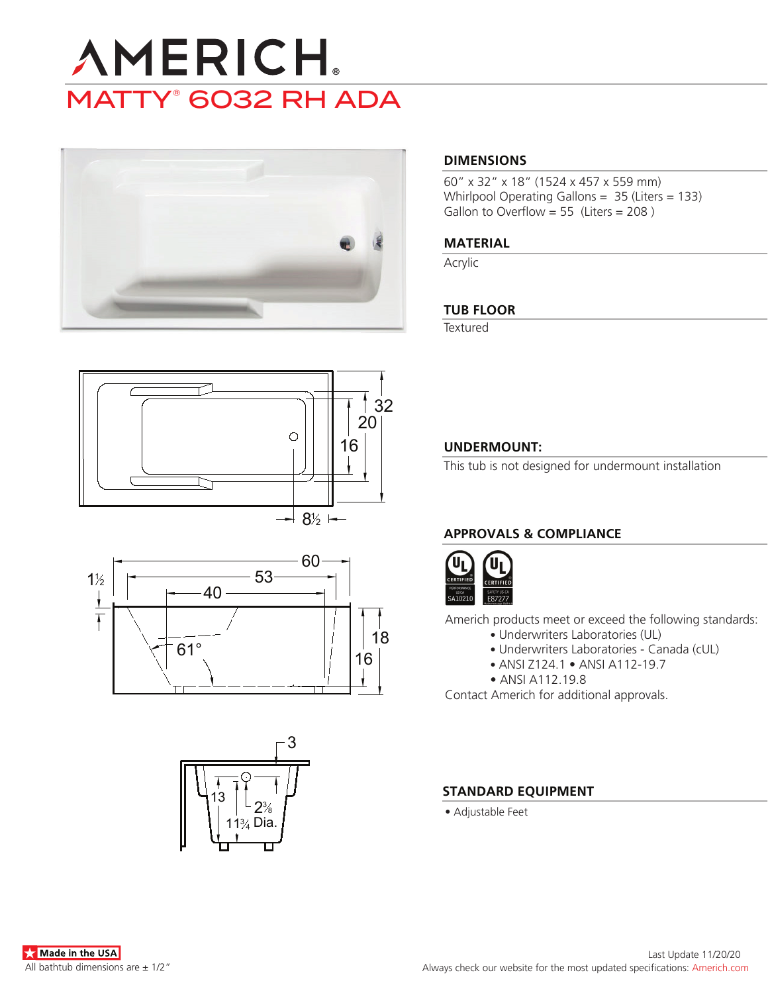# **AMERICH** MATTY® 6032 RH ADA



# **DIMENSIONS**

60" x 32" x 18" (1524 x 457 x 559 mm) Whirlpool Operating Gallons = 35 (Liters = 133) Gallon to Overflow = 55 (Liters = 208)

#### **MATERIAL**

Acrylic

### **TUB FLOOR**

**Textured** 







# **UNDERMOUNT:**

This tub is not designed for undermount installation

# **APPROVALS & COMPLIANCE**



Americh products meet or exceed the following standards:

- Underwriters Laboratories (UL)
	- Underwriters Laboratories Canada (cUL)
	- ANSI Z124.1 ANSI A112-19.7
- ANSI A112.19.8

Contact Americh for additional approvals.

#### **STANDARD EQUIPMENT**

• Adjustable Feet